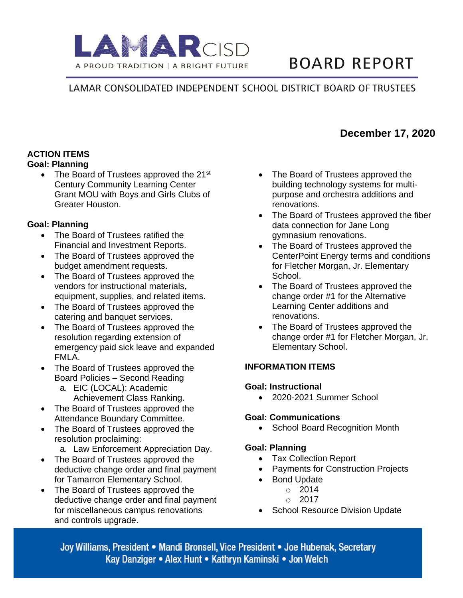

# **BOARD REPORT**

### LAMAR CONSOLIDATED INDEPENDENT SCHOOL DISTRICT BOARD OF TRUSTEES

## **ACTION ITEMS**

#### **Goal: Planning**

• The Board of Trustees approved the  $21^{st}$ Century Community Learning Center Grant MOU with Boys and Girls Clubs of Greater Houston.

#### **Goal: Planning**

- The Board of Trustees ratified the Financial and Investment Reports.
- The Board of Trustees approved the budget amendment requests.
- The Board of Trustees approved the vendors for instructional materials, equipment, supplies, and related items.
- The Board of Trustees approved the catering and banquet services.
- The Board of Trustees approved the resolution regarding extension of emergency paid sick leave and expanded FMLA.
- The Board of Trustees approved the Board Policies – Second Reading
	- a. EIC (LOCAL): Academic Achievement Class Ranking.
- The Board of Trustees approved the Attendance Boundary Committee.
- The Board of Trustees approved the resolution proclaiming:
	- a. Law Enforcement Appreciation Day.
- The Board of Trustees approved the deductive change order and final payment for Tamarron Elementary School.
- The Board of Trustees approved the deductive change order and final payment for miscellaneous campus renovations and controls upgrade.
- The Board of Trustees approved the building technology systems for multipurpose and orchestra additions and renovations.
- The Board of Trustees approved the fiber data connection for Jane Long gymnasium renovations.
- The Board of Trustees approved the CenterPoint Energy terms and conditions for Fletcher Morgan, Jr. Elementary School.
- The Board of Trustees approved the change order #1 for the Alternative Learning Center additions and renovations.
- The Board of Trustees approved the change order #1 for Fletcher Morgan, Jr. Elementary School.

#### **INFORMATION ITEMS**

#### **Goal: Instructional**

• 2020-2021 Summer School

#### **Goal: Communications**

• School Board Recognition Month

#### **Goal: Planning**

- Tax Collection Report
- Payments for Construction Projects
- Bond Update
	- o 2014
		- $\circ$  2017
- School Resource Division Update

Joy Williams, President • Mandi Bronsell, Vice President • Joe Hubenak, Secretary Kay Danziger • Alex Hunt • Kathryn Kaminski • Jon Welch

## **December 17, 2020**